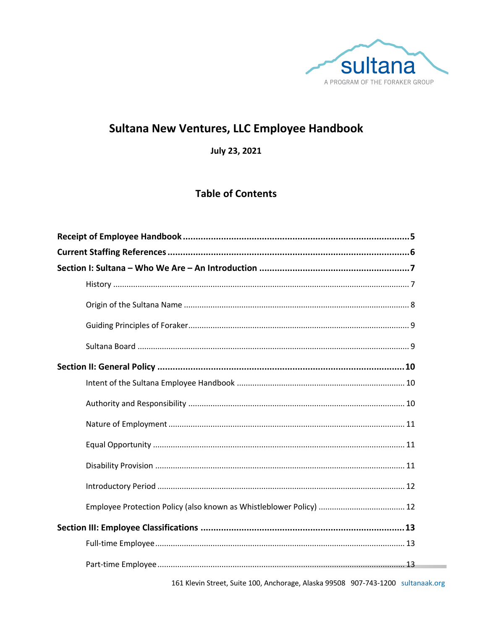

## Sultana New Ventures, LLC Employee Handbook

July 23, 2021

### **Table of Contents**

161 Klevin Street, Suite 100, Anchorage, Alaska 99508 907-743-1200 sultanaak.org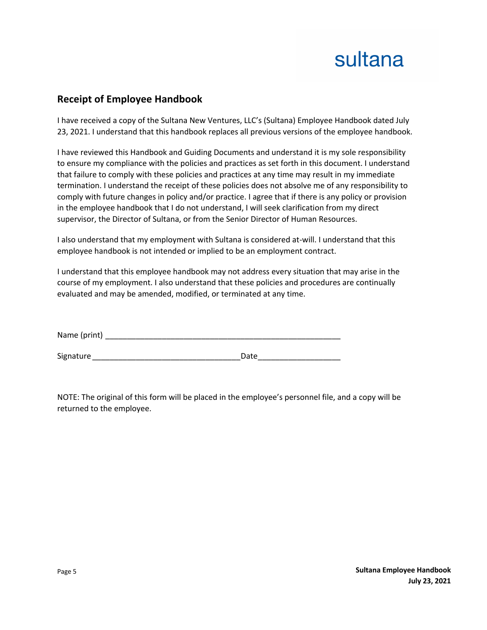### **Receipt of Employee Handbook**

I have received a copy of the Sultana New Ventures, LLC's (Sultana) Employee Handbook dated July 23, 2021. I understand that this handbook replaces all previous versions of the employee handbook.

I have reviewed this Handbook and Guiding Documents and understand it is my sole responsibility to ensure my compliance with the policies and practices as set forth in this document. I understand that failure to comply with these policies and practices at any time may result in my immediate termination. I understand the receipt of these policies does not absolve me of any responsibility to comply with future changes in policy and/or practice. I agree that if there is any policy or provision in the employee handbook that I do not understand, I will seek clarification from my direct supervisor, the Director of Sultana, or from the Senior Director of Human Resources.

I also understand that my employment with Sultana is considered at-will. I understand that this employee handbook is not intended or implied to be an employment contract.

I understand that this employee handbook may not address every situation that may arise in the course of my employment. I also understand that these policies and procedures are continually evaluated and may be amended, modified, or terminated at any time.

| Name (print) |  |  |
|--------------|--|--|
|              |  |  |

Signature **Example 20** and the set of the set of the Date of the Set of the Set of the Set of the Set of the Set of the Set of the Set of the Set of the Set of the Set of the Set of the Set of the Set of the Set of the Set

NOTE: The original of this form will be placed in the employee's personnel file, and a copy will be returned to the employee.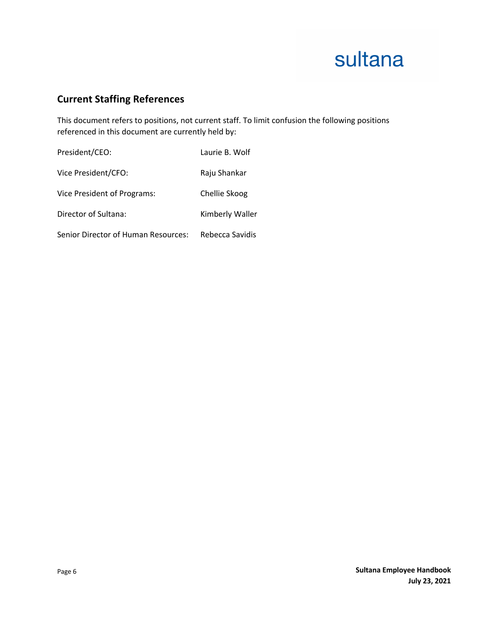### **Current Staffing References**

This document refers to positions, not current staff. To limit confusion the following positions referenced in this document are currently held by:

| President/CEO:                      | Laurie B. Wolf  |
|-------------------------------------|-----------------|
| Vice President/CFO:                 | Raju Shankar    |
| Vice President of Programs:         | Chellie Skoog   |
| Director of Sultana:                | Kimberly Waller |
| Senior Director of Human Resources: | Rebecca Savidis |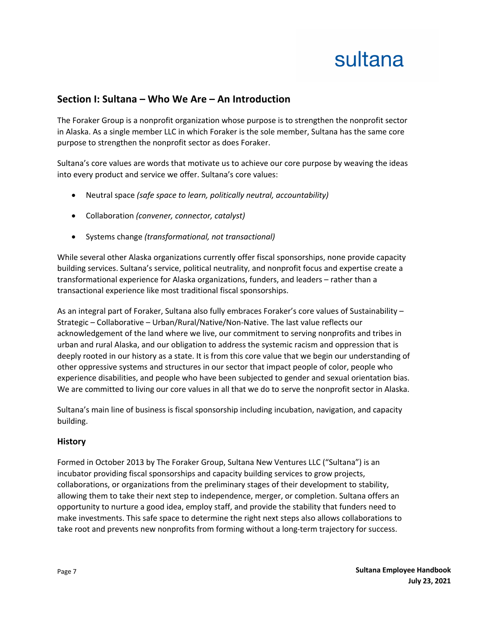### **Section I: Sultana – Who We Are – An Introduction**

The Foraker Group is a nonprofit organization whose purpose is to strengthen the nonprofit sector in Alaska. As a single member LLC in which Foraker is the sole member, Sultana has the same core purpose to strengthen the nonprofit sector as does Foraker.

Sultana's core values are words that motivate us to achieve our core purpose by weaving the ideas into every product and service we offer. Sultana's core values:

- Neutral space *(safe space to learn, politically neutral, accountability)*
- Collaboration *(convener, connector, catalyst)*
- Systems change *(transformational, not transactional)*

While several other Alaska organizations currently offer fiscal sponsorships, none provide capacity building services. Sultana's service, political neutrality, and nonprofit focus and expertise create a transformational experience for Alaska organizations, funders, and leaders – rather than a transactional experience like most traditional fiscal sponsorships.

As an integral part of Foraker, Sultana also fully embraces Foraker's core values of Sustainability – Strategic – Collaborative – Urban/Rural/Native/Non-Native. The last value reflects our acknowledgement of the land where we live, our commitment to serving nonprofits and tribes in urban and rural Alaska, and our obligation to address the systemic racism and oppression that is deeply rooted in our history as a state. It is from this core value that we begin our understanding of other oppressive systems and structures in our sector that impact people of color, people who experience disabilities, and people who have been subjected to gender and sexual orientation bias. We are committed to living our core values in all that we do to serve the nonprofit sector in Alaska.

Sultana's main line of business is fiscal sponsorship including incubation, navigation, and capacity building.

#### **History**

Formed in October 2013 by The Foraker Group, Sultana New Ventures LLC ("Sultana") is an incubator providing fiscal sponsorships and capacity building services to grow projects, collaborations, or organizations from the preliminary stages of their development to stability, allowing them to take their next step to independence, merger, or completion. Sultana offers an opportunity to nurture a good idea, employ staff, and provide the stability that funders need to make investments. This safe space to determine the right next steps also allows collaborations to take root and prevents new nonprofits from forming without a long-term trajectory for success.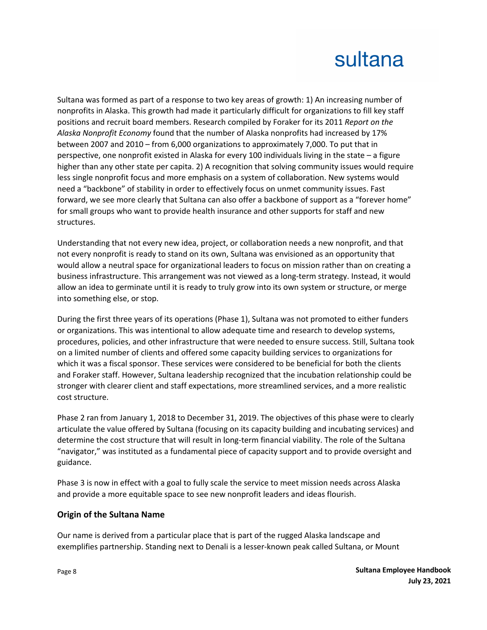Sultana was formed as part of a response to two key areas of growth: 1) An increasing number of nonprofits in Alaska. This growth had made it particularly difficult for organizations to fill key staff positions and recruit board members. Research compiled by Foraker for its 2011 *Report on the Alaska Nonprofit Economy* found that the number of Alaska nonprofits had increased by 17% between 2007 and 2010 – from 6,000 organizations to approximately 7,000. To put that in perspective, one nonprofit existed in Alaska for every 100 individuals living in the state – a figure higher than any other state per capita. 2) A recognition that solving community issues would require less single nonprofit focus and more emphasis on a system of collaboration. New systems would need a "backbone" of stability in order to effectively focus on unmet community issues. Fast forward, we see more clearly that Sultana can also offer a backbone of support as a "forever home" for small groups who want to provide health insurance and other supports for staff and new structures.

Understanding that not every new idea, project, or collaboration needs a new nonprofit, and that not every nonprofit is ready to stand on its own, Sultana was envisioned as an opportunity that would allow a neutral space for organizational leaders to focus on mission rather than on creating a business infrastructure. This arrangement was not viewed as a long-term strategy. Instead, it would allow an idea to germinate until it is ready to truly grow into its own system or structure, or merge into something else, or stop.

During the first three years of its operations (Phase 1), Sultana was not promoted to either funders or organizations. This was intentional to allow adequate time and research to develop systems, procedures, policies, and other infrastructure that were needed to ensure success. Still, Sultana took on a limited number of clients and offered some capacity building services to organizations for which it was a fiscal sponsor. These services were considered to be beneficial for both the clients and Foraker staff. However, Sultana leadership recognized that the incubation relationship could be stronger with clearer client and staff expectations, more streamlined services, and a more realistic cost structure.

Phase 2 ran from January 1, 2018 to December 31, 2019. The objectives of this phase were to clearly articulate the value offered by Sultana (focusing on its capacity building and incubating services) and determine the cost structure that will result in long-term financial viability. The role of the Sultana "navigator," was instituted as a fundamental piece of capacity support and to provide oversight and guidance.

Phase 3 is now in effect with a goal to fully scale the service to meet mission needs across Alaska and provide a more equitable space to see new nonprofit leaders and ideas flourish.

### **Origin of the Sultana Name**

Our name is derived from a particular place that is part of the rugged Alaska landscape and exemplifies partnership. Standing next to Denali is a lesser-known peak called Sultana, or Mount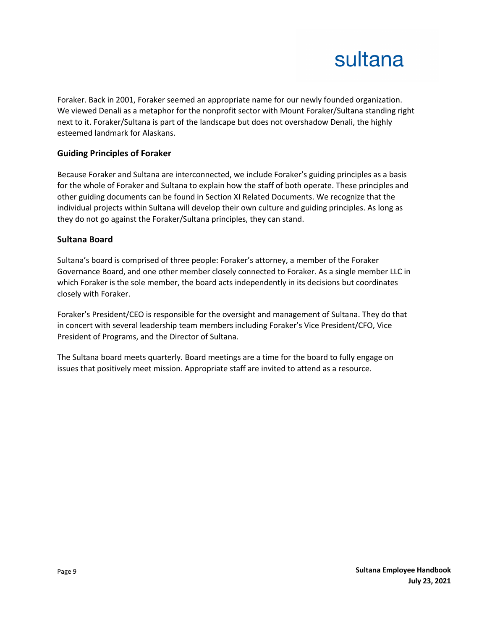Foraker. Back in 2001, Foraker seemed an appropriate name for our newly founded organization. We viewed Denali as a metaphor for the nonprofit sector with Mount Foraker/Sultana standing right next to it. Foraker/Sultana is part of the landscape but does not overshadow Denali, the highly esteemed landmark for Alaskans.

### **Guiding Principles of Foraker**

Because Foraker and Sultana are interconnected, we include Foraker's guiding principles as a basis for the whole of Foraker and Sultana to explain how the staff of both operate. These principles and other guiding documents can be found in Section XI Related Documents. We recognize that the individual projects within Sultana will develop their own culture and guiding principles. As long as they do not go against the Foraker/Sultana principles, they can stand.

#### **Sultana Board**

Sultana's board is comprised of three people: Foraker's attorney, a member of the Foraker Governance Board, and one other member closely connected to Foraker. As a single member LLC in which Foraker is the sole member, the board acts independently in its decisions but coordinates closely with Foraker.

Foraker's President/CEO is responsible for the oversight and management of Sultana. They do that in concert with several leadership team members including Foraker's Vice President/CFO, Vice President of Programs, and the Director of Sultana.

The Sultana board meets quarterly. Board meetings are a time for the board to fully engage on issues that positively meet mission. Appropriate staff are invited to attend as a resource.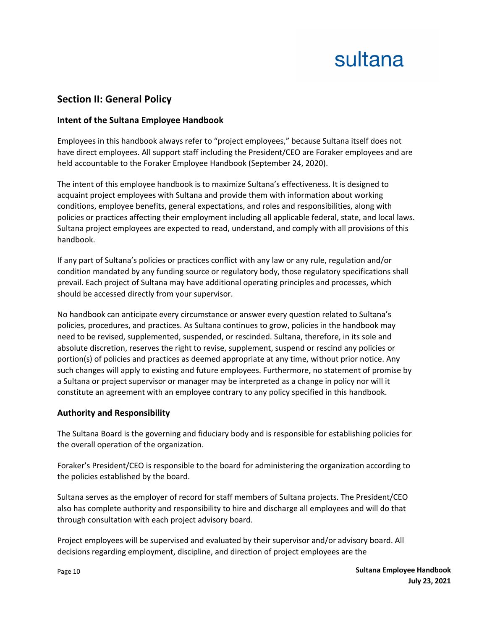### **Section II: General Policy**

### **Intent of the Sultana Employee Handbook**

Employees in this handbook always refer to "project employees," because Sultana itself does not have direct employees. All support staff including the President/CEO are Foraker employees and are held accountable to the Foraker Employee Handbook (September 24, 2020).

The intent of this employee handbook is to maximize Sultana's effectiveness. It is designed to acquaint project employees with Sultana and provide them with information about working conditions, employee benefits, general expectations, and roles and responsibilities, along with policies or practices affecting their employment including all applicable federal, state, and local laws. Sultana project employees are expected to read, understand, and comply with all provisions of this handbook.

If any part of Sultana's policies or practices conflict with any law or any rule, regulation and/or condition mandated by any funding source or regulatory body, those regulatory specifications shall prevail. Each project of Sultana may have additional operating principles and processes, which should be accessed directly from your supervisor.

No handbook can anticipate every circumstance or answer every question related to Sultana's policies, procedures, and practices. As Sultana continues to grow, policies in the handbook may need to be revised, supplemented, suspended, or rescinded. Sultana, therefore, in its sole and absolute discretion, reserves the right to revise, supplement, suspend or rescind any policies or portion(s) of policies and practices as deemed appropriate at any time, without prior notice. Any such changes will apply to existing and future employees. Furthermore, no statement of promise by a Sultana or project supervisor or manager may be interpreted as a change in policy nor will it constitute an agreement with an employee contrary to any policy specified in this handbook.

### **Authority and Responsibility**

The Sultana Board is the governing and fiduciary body and is responsible for establishing policies for the overall operation of the organization.

Foraker's President/CEO is responsible to the board for administering the organization according to the policies established by the board.

Sultana serves as the employer of record for staff members of Sultana projects. The President/CEO also has complete authority and responsibility to hire and discharge all employees and will do that through consultation with each project advisory board.

Project employees will be supervised and evaluated by their supervisor and/or advisory board. All decisions regarding employment, discipline, and direction of project employees are the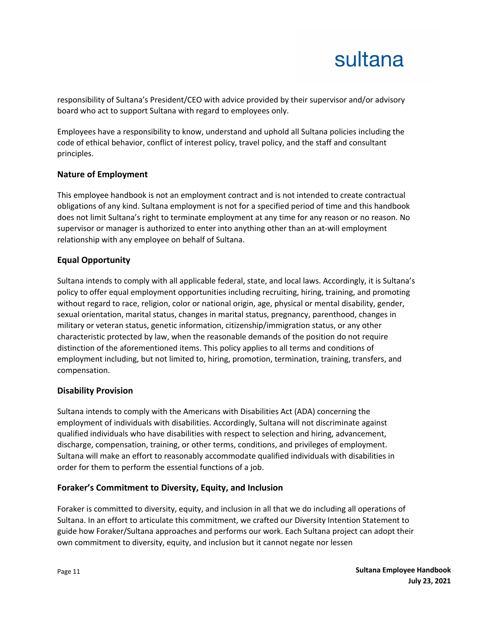responsibility of Sultana's President/CEO with advice provided by their supervisor and/or advisory board who act to support Sultana with regard to employees only.

Employees have a responsibility to know, understand and uphold all Sultana policies including the code of ethical behavior, conflict of interest policy, travel policy, and the staff and consultant principles.

### **Nature of Employment**

This employee handbook is not an employment contract and is not intended to create contractual obligations of any kind. Sultana employment is not for a specified period of time and this handbook does not limit Sultana's right to terminate employment at any time for any reason or no reason. No supervisor or manager is authorized to enter into anything other than an at-will employment relationship with any employee on behalf of Sultana.

### **Equal Opportunity**

Sultana intends to comply with all applicable federal, state, and local laws. Accordingly, it is Sultana's policy to offer equal employment opportunities including recruiting, hiring, training, and promoting without regard to race, religion, color or national origin, age, physical or mental disability, gender, sexual orientation, marital status, changes in marital status, pregnancy, parenthood, changes in military or veteran status, genetic information, citizenship/immigration status, or any other characteristic protected by law, when the reasonable demands of the position do not require distinction of the aforementioned items. This policy applies to all terms and conditions of employment including, but not limited to, hiring, promotion, termination, training, transfers, and compensation.

### **Disability Provision**

Sultana intends to comply with the Americans with Disabilities Act (ADA) concerning the employment of individuals with disabilities. Accordingly, Sultana will not discriminate against qualified individuals who have disabilities with respect to selection and hiring, advancement, discharge, compensation, training, or other terms, conditions, and privileges of employment. Sultana will make an effort to reasonably accommodate qualified individuals with disabilities in order for them to perform the essential functions of a job.

### **Foraker's Commitment to Diversity, Equity, and Inclusion**

Foraker is committed to diversity, equity, and inclusion in all that we do including all operations of Sultana. In an effort to articulate this commitment, we crafted our Diversity Intention Statement to guide how Foraker/Sultana approaches and performs our work. Each Sultana project can adopt their own commitment to diversity, equity, and inclusion but it cannot negate nor lessen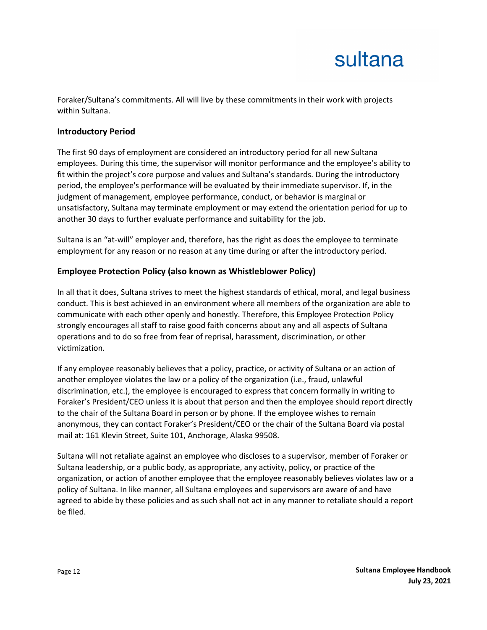Foraker/Sultana's commitments. All will live by these commitments in their work with projects within Sultana.

#### **Introductory Period**

The first 90 days of employment are considered an introductory period for all new Sultana employees. During this time, the supervisor will monitor performance and the employee's ability to fit within the project's core purpose and values and Sultana's standards. During the introductory period, the employee's performance will be evaluated by their immediate supervisor. If, in the judgment of management, employee performance, conduct, or behavior is marginal or unsatisfactory, Sultana may terminate employment or may extend the orientation period for up to another 30 days to further evaluate performance and suitability for the job.

Sultana is an "at-will" employer and, therefore, has the right as does the employee to terminate employment for any reason or no reason at any time during or after the introductory period.

### **Employee Protection Policy (also known as Whistleblower Policy)**

In all that it does, Sultana strives to meet the highest standards of ethical, moral, and legal business conduct. This is best achieved in an environment where all members of the organization are able to communicate with each other openly and honestly. Therefore, this Employee Protection Policy strongly encourages all staff to raise good faith concerns about any and all aspects of Sultana operations and to do so free from fear of reprisal, harassment, discrimination, or other victimization.

If any employee reasonably believes that a policy, practice, or activity of Sultana or an action of another employee violates the law or a policy of the organization (i.e., fraud, unlawful discrimination, etc.), the employee is encouraged to express that concern formally in writing to Foraker's President/CEO unless it is about that person and then the employee should report directly to the chair of the Sultana Board in person or by phone. If the employee wishes to remain anonymous, they can contact Foraker's President/CEO or the chair of the Sultana Board via postal mail at: 161 Klevin Street, Suite 101, Anchorage, Alaska 99508.

Sultana will not retaliate against an employee who discloses to a supervisor, member of Foraker or Sultana leadership, or a public body, as appropriate, any activity, policy, or practice of the organization, or action of another employee that the employee reasonably believes violates law or a policy of Sultana. In like manner, all Sultana employees and supervisors are aware of and have agreed to abide by these policies and as such shall not act in any manner to retaliate should a report be filed.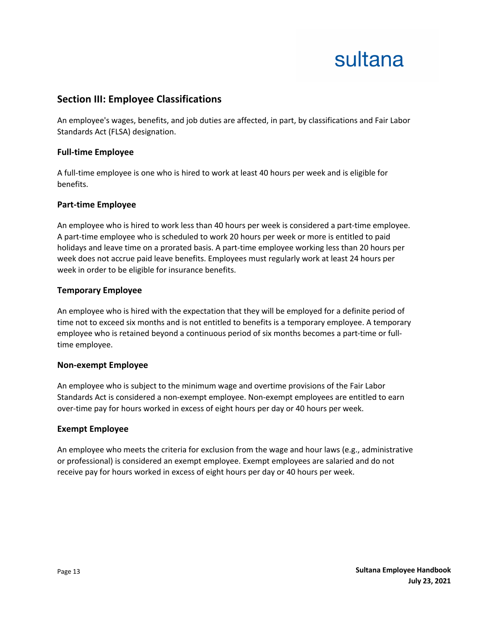### **Section III: Employee Classifications**

An employee's wages, benefits, and job duties are affected, in part, by classifications and Fair Labor Standards Act (FLSA) designation.

#### **Full-time Employee**

A full-time employee is one who is hired to work at least 40 hours per week and is eligible for benefits.

#### **Part-time Employee**

An employee who is hired to work less than 40 hours per week is considered a part-time employee. A part-time employee who is scheduled to work 20 hours per week or more is entitled to paid holidays and leave time on a prorated basis. A part-time employee working less than 20 hours per week does not accrue paid leave benefits. Employees must regularly work at least 24 hours per week in order to be eligible for insurance benefits.

#### **Temporary Employee**

An employee who is hired with the expectation that they will be employed for a definite period of time not to exceed six months and is not entitled to benefits is a temporary employee. A temporary employee who is retained beyond a continuous period of six months becomes a part-time or fulltime employee.

#### **Non-exempt Employee**

An employee who is subject to the minimum wage and overtime provisions of the Fair Labor Standards Act is considered a non-exempt employee. Non-exempt employees are entitled to earn over-time pay for hours worked in excess of eight hours per day or 40 hours per week.

#### **Exempt Employee**

An employee who meets the criteria for exclusion from the wage and hour laws (e.g., administrative or professional) is considered an exempt employee. Exempt employees are salaried and do not receive pay for hours worked in excess of eight hours per day or 40 hours per week.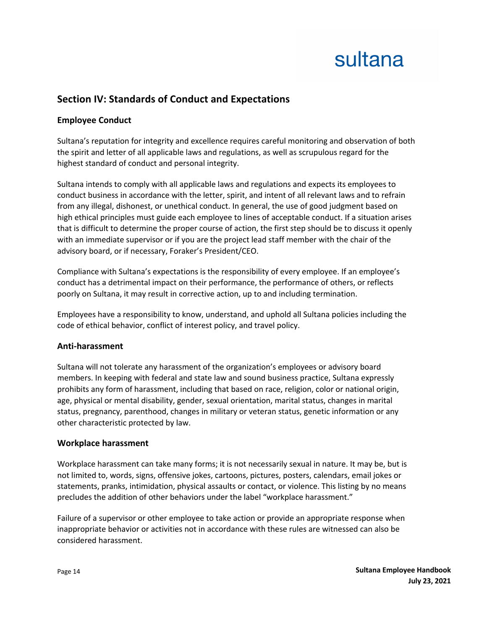### **Section IV: Standards of Conduct and Expectations**

### **Employee Conduct**

Sultana's reputation for integrity and excellence requires careful monitoring and observation of both the spirit and letter of all applicable laws and regulations, as well as scrupulous regard for the highest standard of conduct and personal integrity.

Sultana intends to comply with all applicable laws and regulations and expects its employees to conduct business in accordance with the letter, spirit, and intent of all relevant laws and to refrain from any illegal, dishonest, or unethical conduct. In general, the use of good judgment based on high ethical principles must guide each employee to lines of acceptable conduct. If a situation arises that is difficult to determine the proper course of action, the first step should be to discuss it openly with an immediate supervisor or if you are the project lead staff member with the chair of the advisory board, or if necessary, Foraker's President/CEO.

Compliance with Sultana's expectations is the responsibility of every employee. If an employee's conduct has a detrimental impact on their performance, the performance of others, or reflects poorly on Sultana, it may result in corrective action, up to and including termination.

Employees have a responsibility to know, understand, and uphold all Sultana policies including the code of ethical behavior, conflict of interest policy, and travel policy.

### **Anti-harassment**

Sultana will not tolerate any harassment of the organization's employees or advisory board members. In keeping with federal and state law and sound business practice, Sultana expressly prohibits any form of harassment, including that based on race, religion, color or national origin, age, physical or mental disability, gender, sexual orientation, marital status, changes in marital status, pregnancy, parenthood, changes in military or veteran status, genetic information or any other characteristic protected by law.

### **Workplace harassment**

Workplace harassment can take many forms; it is not necessarily sexual in nature. It may be, but is not limited to, words, signs, offensive jokes, cartoons, pictures, posters, calendars, email jokes or statements, pranks, intimidation, physical assaults or contact, or violence. This listing by no means precludes the addition of other behaviors under the label "workplace harassment."

Failure of a supervisor or other employee to take action or provide an appropriate response when inappropriate behavior or activities not in accordance with these rules are witnessed can also be considered harassment.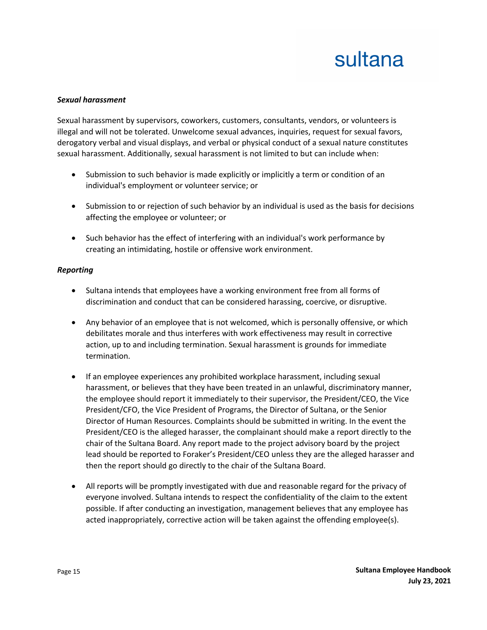#### *Sexual harassment*

Sexual harassment by supervisors, coworkers, customers, consultants, vendors, or volunteers is illegal and will not be tolerated. Unwelcome sexual advances, inquiries, request for sexual favors, derogatory verbal and visual displays, and verbal or physical conduct of a sexual nature constitutes sexual harassment. Additionally, sexual harassment is not limited to but can include when:

- Submission to such behavior is made explicitly or implicitly a term or condition of an individual's employment or volunteer service; or
- Submission to or rejection of such behavior by an individual is used as the basis for decisions affecting the employee or volunteer; or
- Such behavior has the effect of interfering with an individual's work performance by creating an intimidating, hostile or offensive work environment.

#### *Reporting*

- Sultana intends that employees have a working environment free from all forms of discrimination and conduct that can be considered harassing, coercive, or disruptive.
- Any behavior of an employee that is not welcomed, which is personally offensive, or which debilitates morale and thus interferes with work effectiveness may result in corrective action, up to and including termination. Sexual harassment is grounds for immediate termination.
- If an employee experiences any prohibited workplace harassment, including sexual harassment, or believes that they have been treated in an unlawful, discriminatory manner, the employee should report it immediately to their supervisor, the President/CEO, the Vice President/CFO, the Vice President of Programs, the Director of Sultana, or the Senior Director of Human Resources. Complaints should be submitted in writing. In the event the President/CEO is the alleged harasser, the complainant should make a report directly to the chair of the Sultana Board. Any report made to the project advisory board by the project lead should be reported to Foraker's President/CEO unless they are the alleged harasser and then the report should go directly to the chair of the Sultana Board.
- All reports will be promptly investigated with due and reasonable regard for the privacy of everyone involved. Sultana intends to respect the confidentiality of the claim to the extent possible. If after conducting an investigation, management believes that any employee has acted inappropriately, corrective action will be taken against the offending employee(s).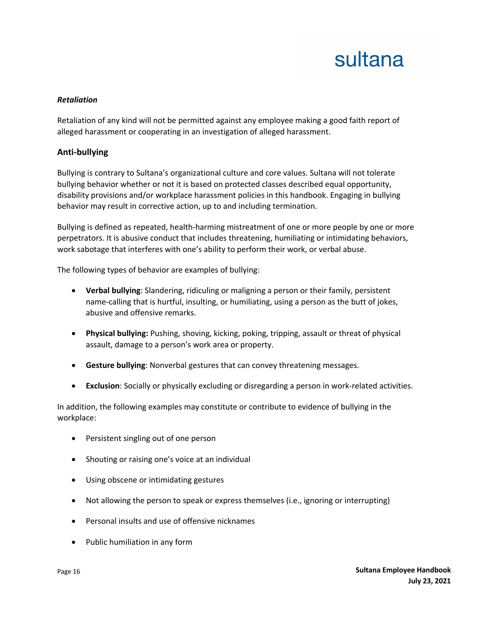#### *Retaliation*

Retaliation of any kind will not be permitted against any employee making a good faith report of alleged harassment or cooperating in an investigation of alleged harassment.

#### **Anti-bullying**

Bullying is contrary to Sultana's organizational culture and core values. Sultana will not tolerate bullying behavior whether or not it is based on protected classes described equal opportunity, disability provisions and/or workplace harassment policies in this handbook. Engaging in bullying behavior may result in corrective action, up to and including termination.

Bullying is defined as repeated, health-harming mistreatment of one or more people by one or more perpetrators. It is abusive conduct that includes threatening, humiliating or intimidating behaviors, work sabotage that interferes with one's ability to perform their work, or verbal abuse.

The following types of behavior are examples of bullying:

- **Verbal bullying**: Slandering, ridiculing or maligning a person or their family, persistent name-calling that is hurtful, insulting, or humiliating, using a person as the butt of jokes, abusive and offensive remarks.
- **Physical bullying:** Pushing, shoving, kicking, poking, tripping, assault or threat of physical assault, damage to a person's work area or property.
- **Gesture bullying**: Nonverbal gestures that can convey threatening messages.
- **Exclusion**: Socially or physically excluding or disregarding a person in work-related activities.

In addition, the following examples may constitute or contribute to evidence of bullying in the workplace:

- Persistent singling out of one person
- Shouting or raising one's voice at an individual
- Using obscene or intimidating gestures
- Not allowing the person to speak or express themselves (i.e., ignoring or interrupting)
- Personal insults and use of offensive nicknames
- Public humiliation in any form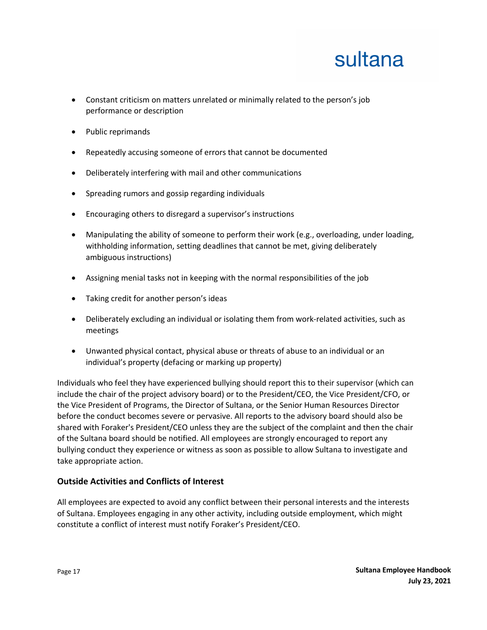- Constant criticism on matters unrelated or minimally related to the person's job performance or description
- Public reprimands
- Repeatedly accusing someone of errors that cannot be documented
- Deliberately interfering with mail and other communications
- Spreading rumors and gossip regarding individuals
- Encouraging others to disregard a supervisor's instructions
- Manipulating the ability of someone to perform their work (e.g., overloading, under loading, withholding information, setting deadlines that cannot be met, giving deliberately ambiguous instructions)
- Assigning menial tasks not in keeping with the normal responsibilities of the job
- Taking credit for another person's ideas
- Deliberately excluding an individual or isolating them from work-related activities, such as meetings
- Unwanted physical contact, physical abuse or threats of abuse to an individual or an individual's property (defacing or marking up property)

Individuals who feel they have experienced bullying should report this to their supervisor (which can include the chair of the project advisory board) or to the President/CEO, the Vice President/CFO, or the Vice President of Programs, the Director of Sultana, or the Senior Human Resources Director before the conduct becomes severe or pervasive. All reports to the advisory board should also be shared with Foraker's President/CEO unless they are the subject of the complaint and then the chair of the Sultana board should be notified. All employees are strongly encouraged to report any bullying conduct they experience or witness as soon as possible to allow Sultana to investigate and take appropriate action.

### **Outside Activities and Conflicts of Interest**

All employees are expected to avoid any conflict between their personal interests and the interests of Sultana. Employees engaging in any other activity, including outside employment, which might constitute a conflict of interest must notify Foraker's President/CEO.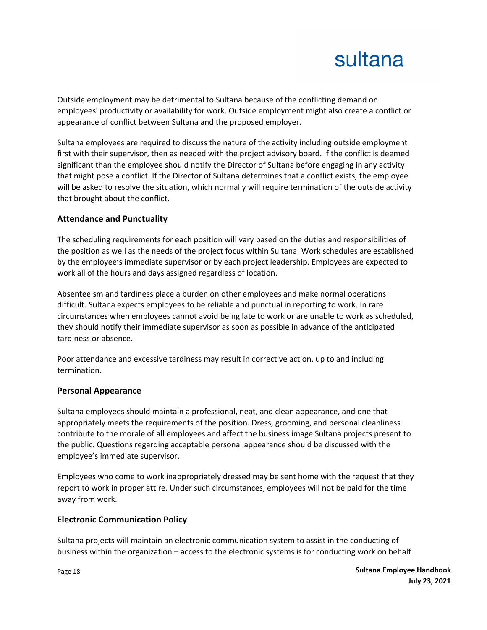Outside employment may be detrimental to Sultana because of the conflicting demand on employees' productivity or availability for work. Outside employment might also create a conflict or appearance of conflict between Sultana and the proposed employer.

Sultana employees are required to discuss the nature of the activity including outside employment first with their supervisor, then as needed with the project advisory board. If the conflict is deemed significant than the employee should notify the Director of Sultana before engaging in any activity that might pose a conflict. If the Director of Sultana determines that a conflict exists, the employee will be asked to resolve the situation, which normally will require termination of the outside activity that brought about the conflict.

### **Attendance and Punctuality**

The scheduling requirements for each position will vary based on the duties and responsibilities of the position as well as the needs of the project focus within Sultana. Work schedules are established by the employee's immediate supervisor or by each project leadership. Employees are expected to work all of the hours and days assigned regardless of location.

Absenteeism and tardiness place a burden on other employees and make normal operations difficult. Sultana expects employees to be reliable and punctual in reporting to work. In rare circumstances when employees cannot avoid being late to work or are unable to work as scheduled, they should notify their immediate supervisor as soon as possible in advance of the anticipated tardiness or absence.

Poor attendance and excessive tardiness may result in corrective action, up to and including termination.

### **Personal Appearance**

Sultana employees should maintain a professional, neat, and clean appearance, and one that appropriately meets the requirements of the position. Dress, grooming, and personal cleanliness contribute to the morale of all employees and affect the business image Sultana projects present to the public. Questions regarding acceptable personal appearance should be discussed with the employee's immediate supervisor.

Employees who come to work inappropriately dressed may be sent home with the request that they report to work in proper attire. Under such circumstances, employees will not be paid for the time away from work.

### **Electronic Communication Policy**

Sultana projects will maintain an electronic communication system to assist in the conducting of business within the organization – access to the electronic systems is for conducting work on behalf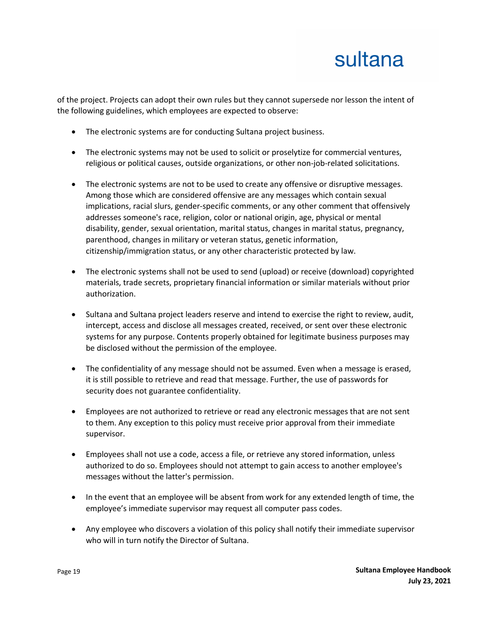of the project. Projects can adopt their own rules but they cannot supersede nor lesson the intent of the following guidelines, which employees are expected to observe:

- The electronic systems are for conducting Sultana project business.
- The electronic systems may not be used to solicit or proselytize for commercial ventures, religious or political causes, outside organizations, or other non-job-related solicitations.
- The electronic systems are not to be used to create any offensive or disruptive messages. Among those which are considered offensive are any messages which contain sexual implications, racial slurs, gender-specific comments, or any other comment that offensively addresses someone's race, religion, color or national origin, age, physical or mental disability, gender, sexual orientation, marital status, changes in marital status, pregnancy, parenthood, changes in military or veteran status, genetic information, citizenship/immigration status, or any other characteristic protected by law.
- The electronic systems shall not be used to send (upload) or receive (download) copyrighted materials, trade secrets, proprietary financial information or similar materials without prior authorization.
- Sultana and Sultana project leaders reserve and intend to exercise the right to review, audit, intercept, access and disclose all messages created, received, or sent over these electronic systems for any purpose. Contents properly obtained for legitimate business purposes may be disclosed without the permission of the employee.
- The confidentiality of any message should not be assumed. Even when a message is erased, it is still possible to retrieve and read that message. Further, the use of passwords for security does not guarantee confidentiality.
- Employees are not authorized to retrieve or read any electronic messages that are not sent to them. Any exception to this policy must receive prior approval from their immediate supervisor.
- Employees shall not use a code, access a file, or retrieve any stored information, unless authorized to do so. Employees should not attempt to gain access to another employee's messages without the latter's permission.
- In the event that an employee will be absent from work for any extended length of time, the employee's immediate supervisor may request all computer pass codes.
- Any employee who discovers a violation of this policy shall notify their immediate supervisor who will in turn notify the Director of Sultana.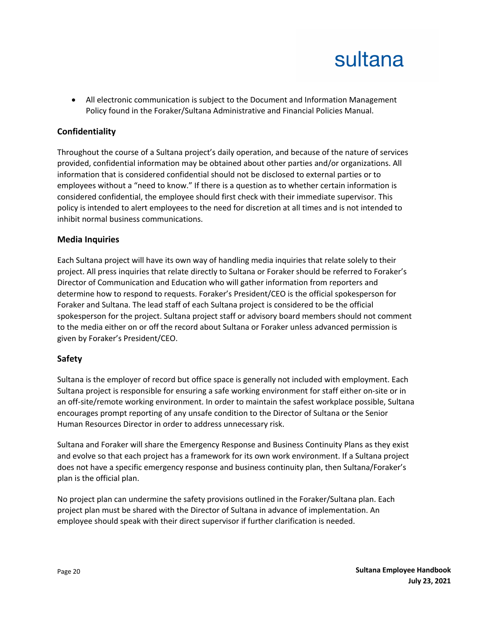• All electronic communication is subject to the Document and Information Management Policy found in the Foraker/Sultana Administrative and Financial Policies Manual.

### **Confidentiality**

Throughout the course of a Sultana project's daily operation, and because of the nature of services provided, confidential information may be obtained about other parties and/or organizations. All information that is considered confidential should not be disclosed to external parties or to employees without a "need to know." If there is a question as to whether certain information is considered confidential, the employee should first check with their immediate supervisor. This policy is intended to alert employees to the need for discretion at all times and is not intended to inhibit normal business communications.

#### **Media Inquiries**

Each Sultana project will have its own way of handling media inquiries that relate solely to their project. All press inquiries that relate directly to Sultana or Foraker should be referred to Foraker's Director of Communication and Education who will gather information from reporters and determine how to respond to requests. Foraker's President/CEO is the official spokesperson for Foraker and Sultana. The lead staff of each Sultana project is considered to be the official spokesperson for the project. Sultana project staff or advisory board members should not comment to the media either on or off the record about Sultana or Foraker unless advanced permission is given by Foraker's President/CEO.

### **Safety**

Sultana is the employer of record but office space is generally not included with employment. Each Sultana project is responsible for ensuring a safe working environment for staff either on-site or in an off-site/remote working environment. In order to maintain the safest workplace possible, Sultana encourages prompt reporting of any unsafe condition to the Director of Sultana or the Senior Human Resources Director in order to address unnecessary risk.

Sultana and Foraker will share the Emergency Response and Business Continuity Plans as they exist and evolve so that each project has a framework for its own work environment. If a Sultana project does not have a specific emergency response and business continuity plan, then Sultana/Foraker's plan is the official plan.

No project plan can undermine the safety provisions outlined in the Foraker/Sultana plan. Each project plan must be shared with the Director of Sultana in advance of implementation. An employee should speak with their direct supervisor if further clarification is needed.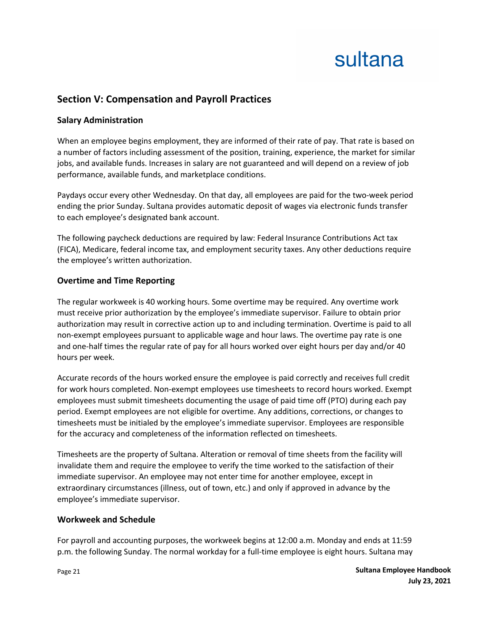### **Section V: Compensation and Payroll Practices**

### **Salary Administration**

When an employee begins employment, they are informed of their rate of pay. That rate is based on a number of factors including assessment of the position, training, experience, the market for similar jobs, and available funds. Increases in salary are not guaranteed and will depend on a review of job performance, available funds, and marketplace conditions.

Paydays occur every other Wednesday. On that day, all employees are paid for the two-week period ending the prior Sunday. Sultana provides automatic deposit of wages via electronic funds transfer to each employee's designated bank account.

The following paycheck deductions are required by law: Federal Insurance Contributions Act tax (FICA), Medicare, federal income tax, and employment security taxes. Any other deductions require the employee's written authorization.

### **Overtime and Time Reporting**

The regular workweek is 40 working hours. Some overtime may be required. Any overtime work must receive prior authorization by the employee's immediate supervisor. Failure to obtain prior authorization may result in corrective action up to and including termination. Overtime is paid to all non-exempt employees pursuant to applicable wage and hour laws. The overtime pay rate is one and one-half times the regular rate of pay for all hours worked over eight hours per day and/or 40 hours per week.

Accurate records of the hours worked ensure the employee is paid correctly and receives full credit for work hours completed. Non-exempt employees use timesheets to record hours worked. Exempt employees must submit timesheets documenting the usage of paid time off (PTO) during each pay period. Exempt employees are not eligible for overtime. Any additions, corrections, or changes to timesheets must be initialed by the employee's immediate supervisor. Employees are responsible for the accuracy and completeness of the information reflected on timesheets.

Timesheets are the property of Sultana. Alteration or removal of time sheets from the facility will invalidate them and require the employee to verify the time worked to the satisfaction of their immediate supervisor. An employee may not enter time for another employee, except in extraordinary circumstances (illness, out of town, etc.) and only if approved in advance by the employee's immediate supervisor.

#### **Workweek and Schedule**

For payroll and accounting purposes, the workweek begins at 12:00 a.m. Monday and ends at 11:59 p.m. the following Sunday. The normal workday for a full-time employee is eight hours. Sultana may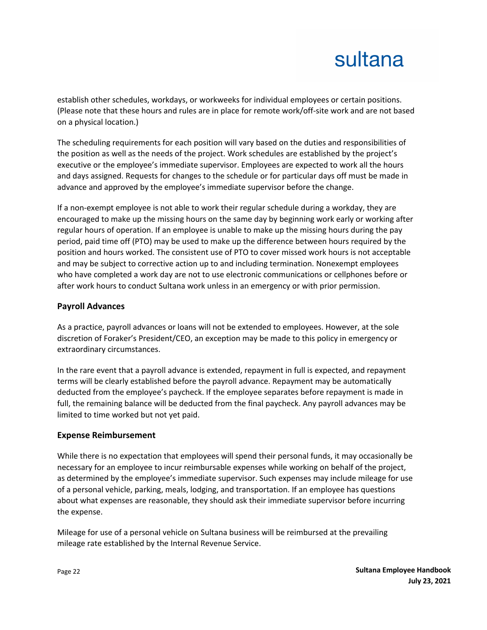establish other schedules, workdays, or workweeks for individual employees or certain positions. (Please note that these hours and rules are in place for remote work/off-site work and are not based on a physical location.)

The scheduling requirements for each position will vary based on the duties and responsibilities of the position as well as the needs of the project. Work schedules are established by the project's executive or the employee's immediate supervisor. Employees are expected to work all the hours and days assigned. Requests for changes to the schedule or for particular days off must be made in advance and approved by the employee's immediate supervisor before the change.

If a non-exempt employee is not able to work their regular schedule during a workday, they are encouraged to make up the missing hours on the same day by beginning work early or working after regular hours of operation. If an employee is unable to make up the missing hours during the pay period, paid time off (PTO) may be used to make up the difference between hours required by the position and hours worked. The consistent use of PTO to cover missed work hours is not acceptable and may be subject to corrective action up to and including termination. Nonexempt employees who have completed a work day are not to use electronic communications or cellphones before or after work hours to conduct Sultana work unless in an emergency or with prior permission.

### **Payroll Advances**

As a practice, payroll advances or loans will not be extended to employees. However, at the sole discretion of Foraker's President/CEO, an exception may be made to this policy in emergency or extraordinary circumstances.

In the rare event that a payroll advance is extended, repayment in full is expected, and repayment terms will be clearly established before the payroll advance. Repayment may be automatically deducted from the employee's paycheck. If the employee separates before repayment is made in full, the remaining balance will be deducted from the final paycheck. Any payroll advances may be limited to time worked but not yet paid.

### **Expense Reimbursement**

While there is no expectation that employees will spend their personal funds, it may occasionally be necessary for an employee to incur reimbursable expenses while working on behalf of the project, as determined by the employee's immediate supervisor. Such expenses may include mileage for use of a personal vehicle, parking, meals, lodging, and transportation. If an employee has questions about what expenses are reasonable, they should ask their immediate supervisor before incurring the expense.

Mileage for use of a personal vehicle on Sultana business will be reimbursed at the prevailing mileage rate established by the Internal Revenue Service.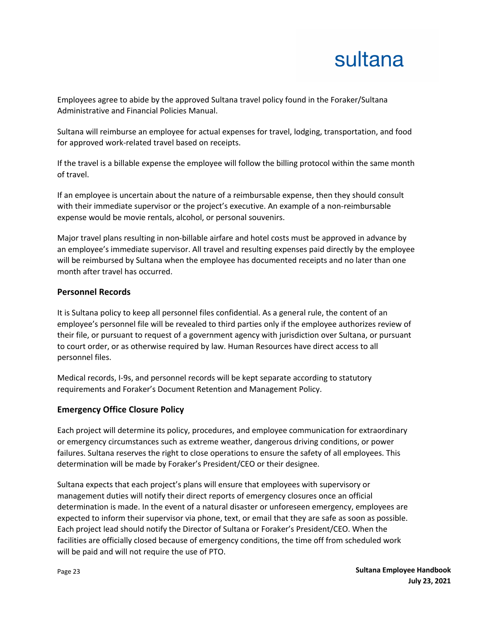Employees agree to abide by the approved Sultana travel policy found in the Foraker/Sultana Administrative and Financial Policies Manual.

Sultana will reimburse an employee for actual expenses for travel, lodging, transportation, and food for approved work-related travel based on receipts.

If the travel is a billable expense the employee will follow the billing protocol within the same month of travel.

If an employee is uncertain about the nature of a reimbursable expense, then they should consult with their immediate supervisor or the project's executive. An example of a non-reimbursable expense would be movie rentals, alcohol, or personal souvenirs.

Major travel plans resulting in non-billable airfare and hotel costs must be approved in advance by an employee's immediate supervisor. All travel and resulting expenses paid directly by the employee will be reimbursed by Sultana when the employee has documented receipts and no later than one month after travel has occurred.

#### **Personnel Records**

It is Sultana policy to keep all personnel files confidential. As a general rule, the content of an employee's personnel file will be revealed to third parties only if the employee authorizes review of their file, or pursuant to request of a government agency with jurisdiction over Sultana, or pursuant to court order, or as otherwise required by law. Human Resources have direct access to all personnel files.

Medical records, I-9s, and personnel records will be kept separate according to statutory requirements and Foraker's Document Retention and Management Policy.

### **Emergency Office Closure Policy**

Each project will determine its policy, procedures, and employee communication for extraordinary or emergency circumstances such as extreme weather, dangerous driving conditions, or power failures. Sultana reserves the right to close operations to ensure the safety of all employees. This determination will be made by Foraker's President/CEO or their designee.

Sultana expects that each project's plans will ensure that employees with supervisory or management duties will notify their direct reports of emergency closures once an official determination is made. In the event of a natural disaster or unforeseen emergency, employees are expected to inform their supervisor via phone, text, or email that they are safe as soon as possible. Each project lead should notify the Director of Sultana or Foraker's President/CEO. When the facilities are officially closed because of emergency conditions, the time off from scheduled work will be paid and will not require the use of PTO.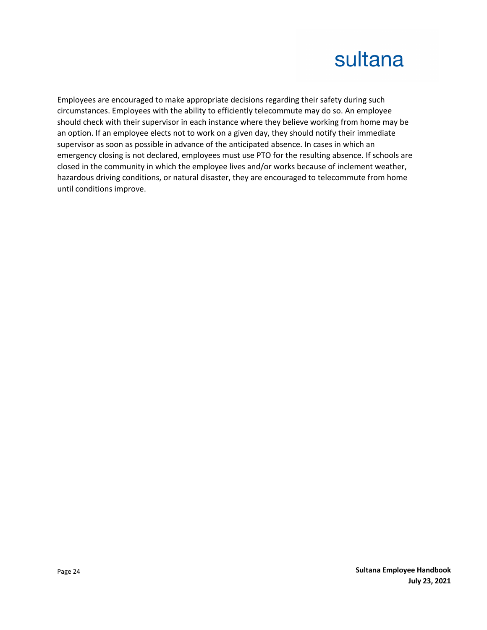Employees are encouraged to make appropriate decisions regarding their safety during such circumstances. Employees with the ability to efficiently telecommute may do so. An employee should check with their supervisor in each instance where they believe working from home may be an option. If an employee elects not to work on a given day, they should notify their immediate supervisor as soon as possible in advance of the anticipated absence. In cases in which an emergency closing is not declared, employees must use PTO for the resulting absence. If schools are closed in the community in which the employee lives and/or works because of inclement weather, hazardous driving conditions, or natural disaster, they are encouraged to telecommute from home until conditions improve.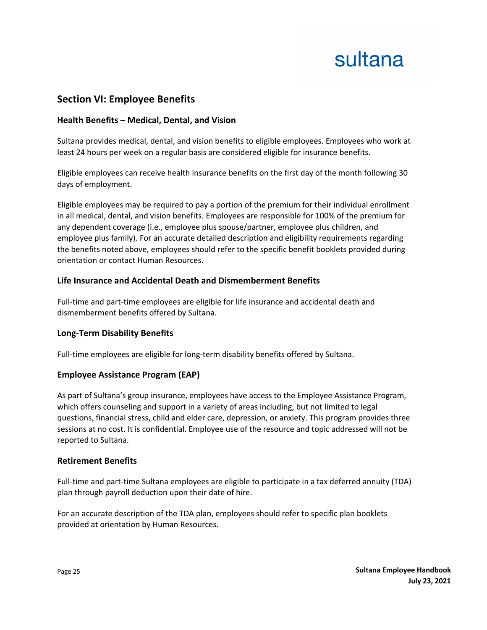### **Section VI: Employee Benefits**

### **Health Benefits – Medical, Dental, and Vision**

Sultana provides medical, dental, and vision benefits to eligible employees. Employees who work at least 24 hours per week on a regular basis are considered eligible for insurance benefits.

Eligible employees can receive health insurance benefits on the first day of the month following 30 days of employment.

Eligible employees may be required to pay a portion of the premium for their individual enrollment in all medical, dental, and vision benefits. Employees are responsible for 100% of the premium for any dependent coverage (i.e., employee plus spouse/partner, employee plus children, and employee plus family). For an accurate detailed description and eligibility requirements regarding the benefits noted above, employees should refer to the specific benefit booklets provided during orientation or contact Human Resources.

### **Life Insurance and Accidental Death and Dismemberment Benefits**

Full-time and part-time employees are eligible for life insurance and accidental death and dismemberment benefits offered by Sultana.

### **Long-Term Disability Benefits**

Full-time employees are eligible for long-term disability benefits offered by Sultana.

### **Employee Assistance Program (EAP)**

As part of Sultana's group insurance, employees have access to the Employee Assistance Program, which offers counseling and support in a variety of areas including, but not limited to legal questions, financial stress, child and elder care, depression, or anxiety. This program provides three sessions at no cost. It is confidential. Employee use of the resource and topic addressed will not be reported to Sultana.

#### **Retirement Benefits**

Full-time and part-time Sultana employees are eligible to participate in a tax deferred annuity (TDA) plan through payroll deduction upon their date of hire.

For an accurate description of the TDA plan, employees should refer to specific plan booklets provided at orientation by Human Resources.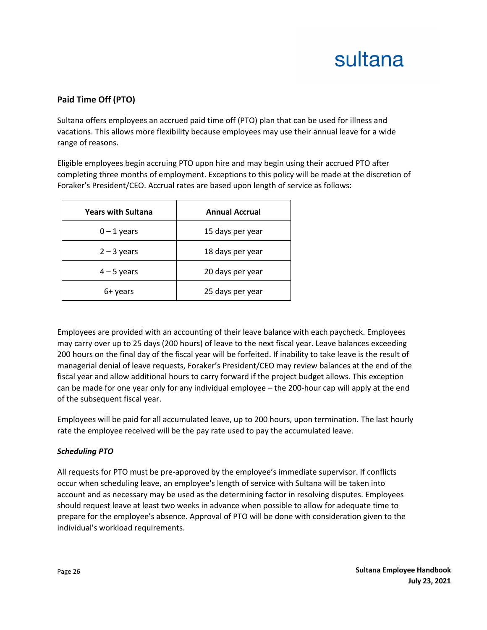### **Paid Time Off (PTO)**

Sultana offers employees an accrued paid time off (PTO) plan that can be used for illness and vacations. This allows more flexibility because employees may use their annual leave for a wide range of reasons.

Eligible employees begin accruing PTO upon hire and may begin using their accrued PTO after completing three months of employment. Exceptions to this policy will be made at the discretion of Foraker's President/CEO. Accrual rates are based upon length of service as follows:

| <b>Years with Sultana</b> | <b>Annual Accrual</b> |
|---------------------------|-----------------------|
| $0 - 1$ years             | 15 days per year      |
| $2 - 3$ years             | 18 days per year      |
| $4 - 5$ years             | 20 days per year      |
| 6+ years                  | 25 days per year      |

Employees are provided with an accounting of their leave balance with each paycheck. Employees may carry over up to 25 days (200 hours) of leave to the next fiscal year. Leave balances exceeding 200 hours on the final day of the fiscal year will be forfeited. If inability to take leave is the result of managerial denial of leave requests, Foraker's President/CEO may review balances at the end of the fiscal year and allow additional hours to carry forward if the project budget allows. This exception can be made for one year only for any individual employee – the 200-hour cap will apply at the end of the subsequent fiscal year.

Employees will be paid for all accumulated leave, up to 200 hours, upon termination. The last hourly rate the employee received will be the pay rate used to pay the accumulated leave.

#### *Scheduling PTO*

All requests for PTO must be pre-approved by the employee's immediate supervisor. If conflicts occur when scheduling leave, an employee's length of service with Sultana will be taken into account and as necessary may be used as the determining factor in resolving disputes. Employees should request leave at least two weeks in advance when possible to allow for adequate time to prepare for the employee's absence. Approval of PTO will be done with consideration given to the individual's workload requirements.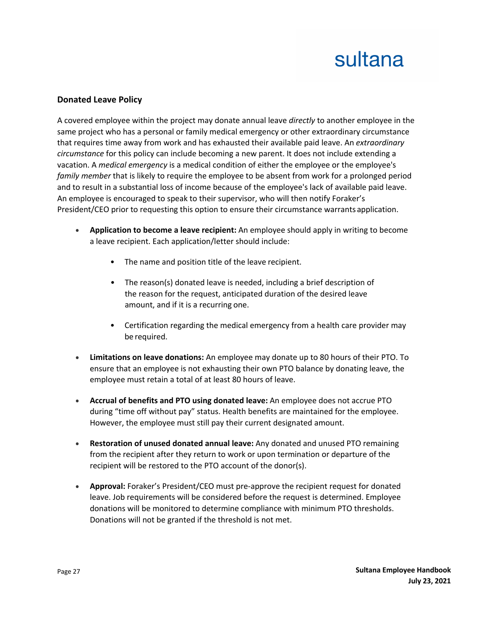#### **Donated Leave Policy**

A covered employee within the project may donate annual leave *directly* to another employee in the same project who has a personal or family medical emergency or other extraordinary circumstance that requires time away from work and has exhausted their available paid leave. An *extraordinary circumstance* for this policy can include becoming a new parent. It does not include extending a vacation. A *medical emergency* is a medical condition of either the employee or the employee's *family member* that is likely to require the employee to be absent from work for a prolonged period and to result in a substantial loss of income because of the employee's lack of available paid leave. An employee is encouraged to speak to their supervisor, who will then notify Foraker's President/CEO prior to requesting this option to ensure their circumstance warrants application.

- **Application to become a leave recipient:** An employee should apply in writing to become a leave recipient. Each application/letter should include:
	- The name and position title of the leave recipient.
	- The reason(s) donated leave is needed, including a brief description of the reason for the request, anticipated duration of the desired leave amount, and if it is a recurring one.
	- Certification regarding the medical emergency from a health care provider may be required.
- **Limitations on leave donations:** An employee may donate up to 80 hours of their PTO. To ensure that an employee is not exhausting their own PTO balance by donating leave, the employee must retain a total of at least 80 hours of leave.
- **Accrual of benefits and PTO using donated leave:** An employee does not accrue PTO during "time off without pay" status. Health benefits are maintained for the employee. However, the employee must still pay their current designated amount.
- **Restoration of unused donated annual leave:** Any donated and unused PTO remaining from the recipient after they return to work or upon termination or departure of the recipient will be restored to the PTO account of the donor(s).
- **Approval:** Foraker's President/CEO must pre-approve the recipient request for donated leave. Job requirements will be considered before the request is determined. Employee donations will be monitored to determine compliance with minimum PTO thresholds. Donations will not be granted if the threshold is not met.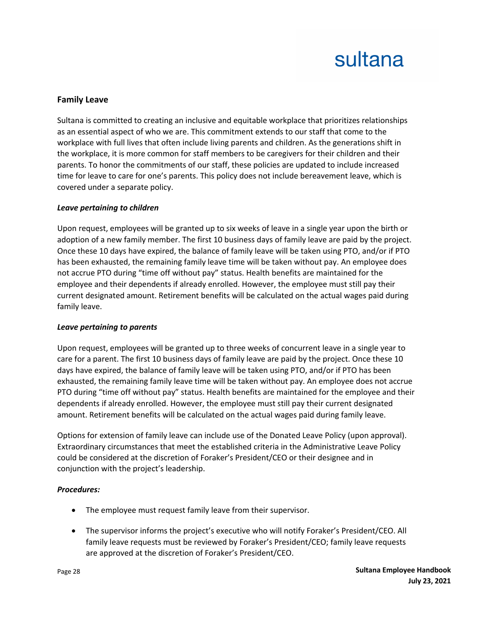#### **Family Leave**

Sultana is committed to creating an inclusive and equitable workplace that prioritizes relationships as an essential aspect of who we are. This commitment extends to our staff that come to the workplace with full lives that often include living parents and children. As the generations shift in the workplace, it is more common for staff members to be caregivers for their children and their parents. To honor the commitments of our staff, these policies are updated to include increased time for leave to care for one's parents. This policy does not include bereavement leave, which is covered under a separate policy.

#### *Leave pertaining to children*

Upon request, employees will be granted up to six weeks of leave in a single year upon the birth or adoption of a new family member. The first 10 business days of family leave are paid by the project. Once these 10 days have expired, the balance of family leave will be taken using PTO, and/or if PTO has been exhausted, the remaining family leave time will be taken without pay. An employee does not accrue PTO during "time off without pay" status. Health benefits are maintained for the employee and their dependents if already enrolled. However, the employee must still pay their current designated amount. Retirement benefits will be calculated on the actual wages paid during family leave.

#### *Leave pertaining to parents*

Upon request, employees will be granted up to three weeks of concurrent leave in a single year to care for a parent. The first 10 business days of family leave are paid by the project. Once these 10 days have expired, the balance of family leave will be taken using PTO, and/or if PTO has been exhausted, the remaining family leave time will be taken without pay. An employee does not accrue PTO during "time off without pay" status. Health benefits are maintained for the employee and their dependents if already enrolled. However, the employee must still pay their current designated amount. Retirement benefits will be calculated on the actual wages paid during family leave.

Options for extension of family leave can include use of the Donated Leave Policy (upon approval). Extraordinary circumstances that meet the established criteria in the Administrative Leave Policy could be considered at the discretion of Foraker's President/CEO or their designee and in conjunction with the project's leadership.

#### *Procedures:*

- The employee must request family leave from their supervisor.
- The supervisor informs the project's executive who will notify Foraker's President/CEO. All family leave requests must be reviewed by Foraker's President/CEO; family leave requests are approved at the discretion of Foraker's President/CEO.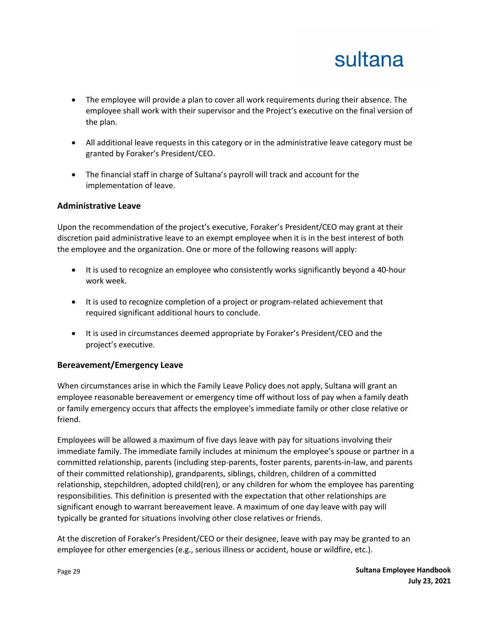

- The employee will provide a plan to cover all work requirements during their absence. The employee shall work with their supervisor and the Project's executive on the final version of the plan.
- All additional leave requests in this category or in the administrative leave category must be granted by Foraker's President/CEO.
- The financial staff in charge of Sultana's payroll will track and account for the implementation of leave.

#### **Administrative Leave**

Upon the recommendation of the project's executive, Foraker's President/CEO may grant at their discretion paid administrative leave to an exempt employee when it is in the best interest of both the employee and the organization. One or more of the following reasons will apply:

- It is used to recognize an employee who consistently works significantly beyond a 40-hour work week.
- It is used to recognize completion of a project or program-related achievement that required significant additional hours to conclude.
- It is used in circumstances deemed appropriate by Foraker's President/CEO and the project's executive.

### **Bereavement/Emergency Leave**

When circumstances arise in which the Family Leave Policy does not apply, Sultana will grant an employee reasonable bereavement or emergency time off without loss of pay when a family death or family emergency occurs that affects the employee's immediate family or other close relative or friend.

Employees will be allowed a maximum of five days leave with pay for situations involving their immediate family. The immediate family includes at minimum the employee's spouse or partner in a committed relationship, parents (including step-parents, foster parents, parents-in-law, and parents of their committed relationship), grandparents, siblings, children, children of a committed relationship, stepchildren, adopted child(ren), or any children for whom the employee has parenting responsibilities. This definition is presented with the expectation that other relationships are significant enough to warrant bereavement leave. A maximum of one day leave with pay will typically be granted for situations involving other close relatives or friends.

At the discretion of Foraker's President/CEO or their designee, leave with pay may be granted to an employee for other emergencies (e.g., serious illness or accident, house or wildfire, etc.).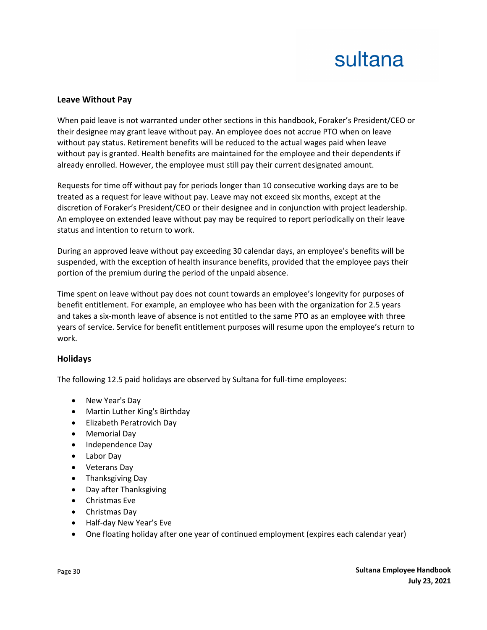#### **Leave Without Pay**

When paid leave is not warranted under other sections in this handbook, Foraker's President/CEO or their designee may grant leave without pay. An employee does not accrue PTO when on leave without pay status. Retirement benefits will be reduced to the actual wages paid when leave without pay is granted. Health benefits are maintained for the employee and their dependents if already enrolled. However, the employee must still pay their current designated amount.

Requests for time off without pay for periods longer than 10 consecutive working days are to be treated as a request for leave without pay. Leave may not exceed six months, except at the discretion of Foraker's President/CEO or their designee and in conjunction with project leadership. An employee on extended leave without pay may be required to report periodically on their leave status and intention to return to work.

During an approved leave without pay exceeding 30 calendar days, an employee's benefits will be suspended, with the exception of health insurance benefits, provided that the employee pays their portion of the premium during the period of the unpaid absence.

Time spent on leave without pay does not count towards an employee's longevity for purposes of benefit entitlement. For example, an employee who has been with the organization for 2.5 years and takes a six-month leave of absence is not entitled to the same PTO as an employee with three years of service. Service for benefit entitlement purposes will resume upon the employee's return to work.

#### **Holidays**

The following 12.5 paid holidays are observed by Sultana for full-time employees:

- New Year's Day
- Martin Luther King's Birthday
- Elizabeth Peratrovich Day
- Memorial Day
- Independence Day
- Labor Day
- Veterans Day
- Thanksgiving Day
- Day after Thanksgiving
- Christmas Eve
- Christmas Day
- Half-day New Year's Eve
- One floating holiday after one year of continued employment (expires each calendar year)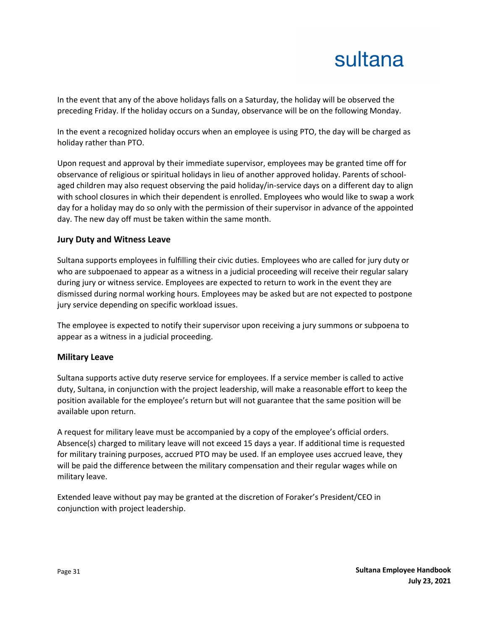In the event that any of the above holidays falls on a Saturday, the holiday will be observed the preceding Friday. If the holiday occurs on a Sunday, observance will be on the following Monday.

In the event a recognized holiday occurs when an employee is using PTO, the day will be charged as holiday rather than PTO.

Upon request and approval by their immediate supervisor, employees may be granted time off for observance of religious or spiritual holidays in lieu of another approved holiday. Parents of schoolaged children may also request observing the paid holiday/in-service days on a different day to align with school closures in which their dependent is enrolled. Employees who would like to swap a work day for a holiday may do so only with the permission of their supervisor in advance of the appointed day. The new day off must be taken within the same month.

#### **Jury Duty and Witness Leave**

Sultana supports employees in fulfilling their civic duties. Employees who are called for jury duty or who are subpoenaed to appear as a witness in a judicial proceeding will receive their regular salary during jury or witness service. Employees are expected to return to work in the event they are dismissed during normal working hours. Employees may be asked but are not expected to postpone jury service depending on specific workload issues.

The employee is expected to notify their supervisor upon receiving a jury summons or subpoena to appear as a witness in a judicial proceeding.

#### **Military Leave**

Sultana supports active duty reserve service for employees. If a service member is called to active duty, Sultana, in conjunction with the project leadership, will make a reasonable effort to keep the position available for the employee's return but will not guarantee that the same position will be available upon return.

A request for military leave must be accompanied by a copy of the employee's official orders. Absence(s) charged to military leave will not exceed 15 days a year. If additional time is requested for military training purposes, accrued PTO may be used. If an employee uses accrued leave, they will be paid the difference between the military compensation and their regular wages while on military leave.

Extended leave without pay may be granted at the discretion of Foraker's President/CEO in conjunction with project leadership.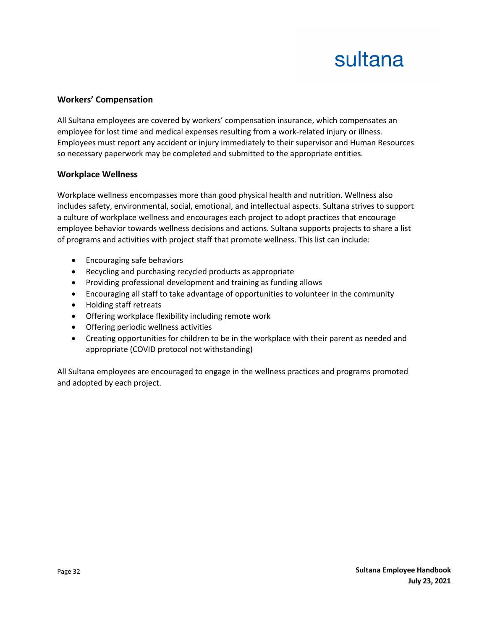#### **Workers' Compensation**

All Sultana employees are covered by workers' compensation insurance, which compensates an employee for lost time and medical expenses resulting from a work-related injury or illness. Employees must report any accident or injury immediately to their supervisor and Human Resources so necessary paperwork may be completed and submitted to the appropriate entities.

#### **Workplace Wellness**

Workplace wellness encompasses more than good physical health and nutrition. Wellness also includes safety, environmental, social, emotional, and intellectual aspects. Sultana strives to support a culture of workplace wellness and encourages each project to adopt practices that encourage employee behavior towards wellness decisions and actions. Sultana supports projects to share a list of programs and activities with project staff that promote wellness. This list can include:

- Encouraging safe behaviors
- Recycling and purchasing recycled products as appropriate
- Providing professional development and training as funding allows
- Encouraging all staff to take advantage of opportunities to volunteer in the community
- Holding staff retreats
- Offering workplace flexibility including remote work
- Offering periodic wellness activities
- Creating opportunities for children to be in the workplace with their parent as needed and appropriate (COVID protocol not withstanding)

All Sultana employees are encouraged to engage in the wellness practices and programs promoted and adopted by each project.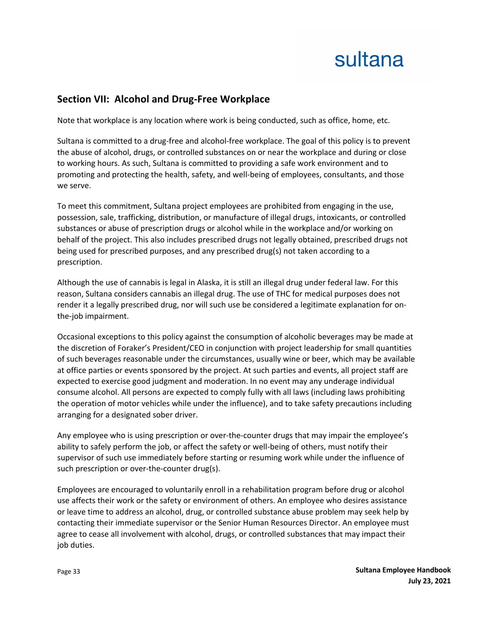### **Section VII: Alcohol and Drug-Free Workplace**

Note that workplace is any location where work is being conducted, such as office, home, etc.

Sultana is committed to a drug-free and alcohol-free workplace. The goal of this policy is to prevent the abuse of alcohol, drugs, or controlled substances on or near the workplace and during or close to working hours. As such, Sultana is committed to providing a safe work environment and to promoting and protecting the health, safety, and well-being of employees, consultants, and those we serve.

To meet this commitment, Sultana project employees are prohibited from engaging in the use, possession, sale, trafficking, distribution, or manufacture of illegal drugs, intoxicants, or controlled substances or abuse of prescription drugs or alcohol while in the workplace and/or working on behalf of the project. This also includes prescribed drugs not legally obtained, prescribed drugs not being used for prescribed purposes, and any prescribed drug(s) not taken according to a prescription.

Although the use of cannabis is legal in Alaska, it is still an illegal drug under federal law. For this reason, Sultana considers cannabis an illegal drug. The use of THC for medical purposes does not render it a legally prescribed drug, nor will such use be considered a legitimate explanation for onthe-job impairment.

Occasional exceptions to this policy against the consumption of alcoholic beverages may be made at the discretion of Foraker's President/CEO in conjunction with project leadership for small quantities of such beverages reasonable under the circumstances, usually wine or beer, which may be available at office parties or events sponsored by the project. At such parties and events, all project staff are expected to exercise good judgment and moderation. In no event may any underage individual consume alcohol. All persons are expected to comply fully with all laws (including laws prohibiting the operation of motor vehicles while under the influence), and to take safety precautions including arranging for a designated sober driver.

Any employee who is using prescription or over-the-counter drugs that may impair the employee's ability to safely perform the job, or affect the safety or well-being of others, must notify their supervisor of such use immediately before starting or resuming work while under the influence of such prescription or over-the-counter drug(s).

Employees are encouraged to voluntarily enroll in a rehabilitation program before drug or alcohol use affects their work or the safety or environment of others. An employee who desires assistance or leave time to address an alcohol, drug, or controlled substance abuse problem may seek help by contacting their immediate supervisor or the Senior Human Resources Director. An employee must agree to cease all involvement with alcohol, drugs, or controlled substances that may impact their job duties.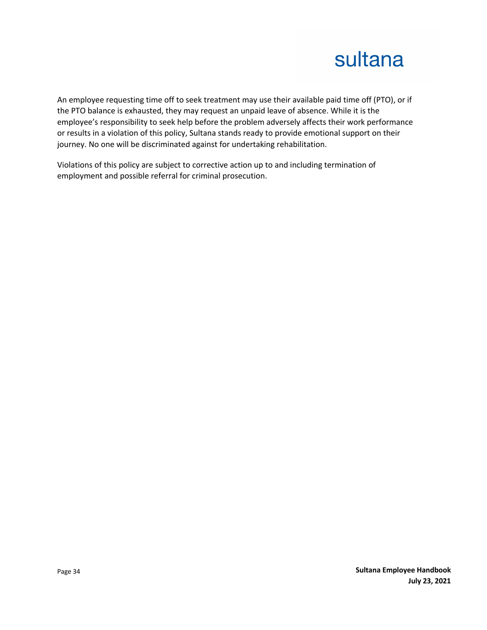An employee requesting time off to seek treatment may use their available paid time off (PTO), or if the PTO balance is exhausted, they may request an unpaid leave of absence. While it is the employee's responsibility to seek help before the problem adversely affects their work performance or results in a violation of this policy, Sultana stands ready to provide emotional support on their journey. No one will be discriminated against for undertaking rehabilitation.

Violations of this policy are subject to corrective action up to and including termination of employment and possible referral for criminal prosecution.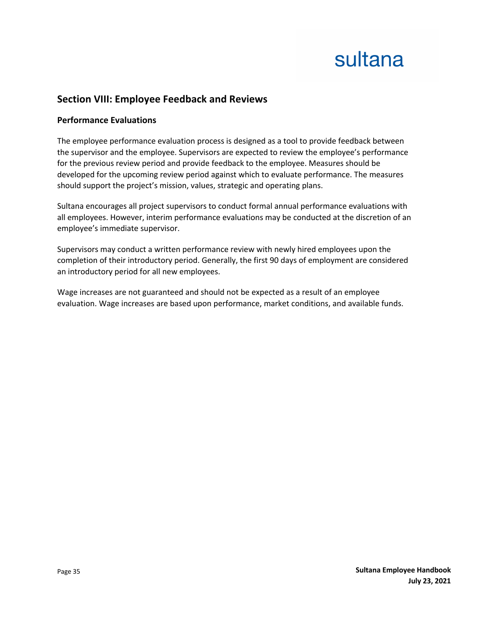### **Section VIII: Employee Feedback and Reviews**

#### **Performance Evaluations**

The employee performance evaluation process is designed as a tool to provide feedback between the supervisor and the employee. Supervisors are expected to review the employee's performance for the previous review period and provide feedback to the employee. Measures should be developed for the upcoming review period against which to evaluate performance. The measures should support the project's mission, values, strategic and operating plans.

Sultana encourages all project supervisors to conduct formal annual performance evaluations with all employees. However, interim performance evaluations may be conducted at the discretion of an employee's immediate supervisor.

Supervisors may conduct a written performance review with newly hired employees upon the completion of their introductory period. Generally, the first 90 days of employment are considered an introductory period for all new employees.

Wage increases are not guaranteed and should not be expected as a result of an employee evaluation. Wage increases are based upon performance, market conditions, and available funds.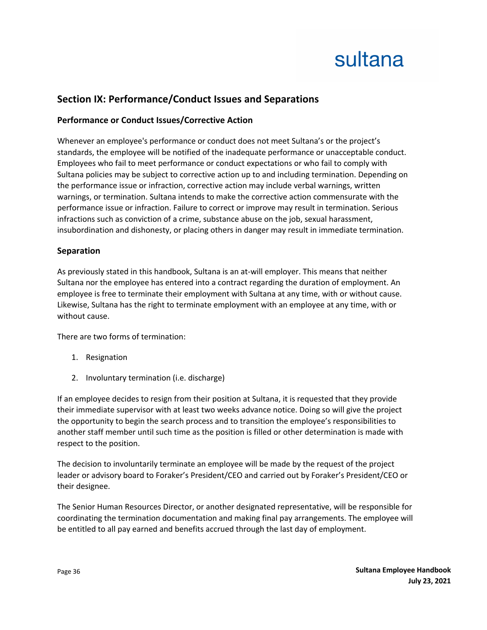### **Section IX: Performance/Conduct Issues and Separations**

### **Performance or Conduct Issues/Corrective Action**

Whenever an employee's performance or conduct does not meet Sultana's or the project's standards, the employee will be notified of the inadequate performance or unacceptable conduct. Employees who fail to meet performance or conduct expectations or who fail to comply with Sultana policies may be subject to corrective action up to and including termination. Depending on the performance issue or infraction, corrective action may include verbal warnings, written warnings, or termination. Sultana intends to make the corrective action commensurate with the performance issue or infraction. Failure to correct or improve may result in termination. Serious infractions such as conviction of a crime, substance abuse on the job, sexual harassment, insubordination and dishonesty, or placing others in danger may result in immediate termination.

#### **Separation**

As previously stated in this handbook, Sultana is an at-will employer. This means that neither Sultana nor the employee has entered into a contract regarding the duration of employment. An employee is free to terminate their employment with Sultana at any time, with or without cause. Likewise, Sultana has the right to terminate employment with an employee at any time, with or without cause.

There are two forms of termination:

- 1. Resignation
- 2. Involuntary termination (i.e. discharge)

If an employee decides to resign from their position at Sultana, it is requested that they provide their immediate supervisor with at least two weeks advance notice. Doing so will give the project the opportunity to begin the search process and to transition the employee's responsibilities to another staff member until such time as the position is filled or other determination is made with respect to the position.

The decision to involuntarily terminate an employee will be made by the request of the project leader or advisory board to Foraker's President/CEO and carried out by Foraker's President/CEO or their designee.

The Senior Human Resources Director, or another designated representative, will be responsible for coordinating the termination documentation and making final pay arrangements. The employee will be entitled to all pay earned and benefits accrued through the last day of employment.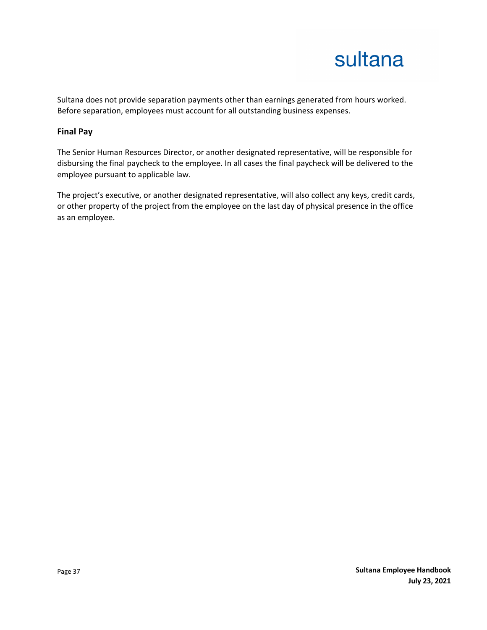Sultana does not provide separation payments other than earnings generated from hours worked. Before separation, employees must account for all outstanding business expenses.

#### **Final Pay**

The Senior Human Resources Director, or another designated representative, will be responsible for disbursing the final paycheck to the employee. In all cases the final paycheck will be delivered to the employee pursuant to applicable law.

The project's executive, or another designated representative, will also collect any keys, credit cards, or other property of the project from the employee on the last day of physical presence in the office as an employee.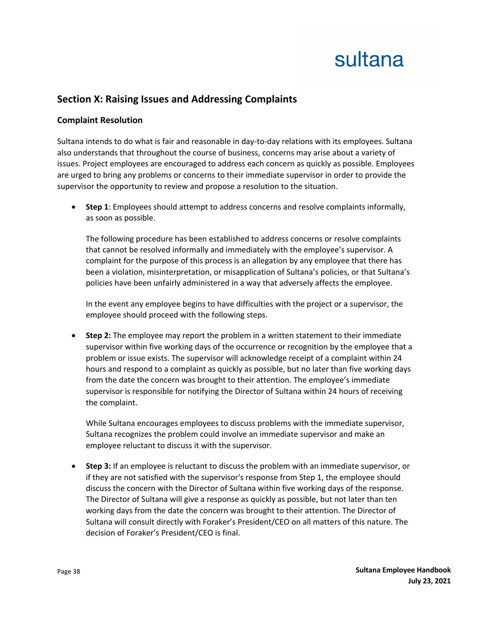### **Section X: Raising Issues and Addressing Complaints**

#### **Complaint Resolution**

Sultana intends to do what is fair and reasonable in day-to-day relations with its employees. Sultana also understands that throughout the course of business, concerns may arise about a variety of issues. Project employees are encouraged to address each concern as quickly as possible. Employees are urged to bring any problems or concerns to their immediate supervisor in order to provide the supervisor the opportunity to review and propose a resolution to the situation.

• **Step 1**: Employees should attempt to address concerns and resolve complaints informally, as soon as possible.

The following procedure has been established to address concerns or resolve complaints that cannot be resolved informally and immediately with the employee's supervisor. A complaint for the purpose of this process is an allegation by any employee that there has been a violation, misinterpretation, or misapplication of Sultana's policies, or that Sultana's policies have been unfairly administered in a way that adversely affects the employee.

In the event any employee begins to have difficulties with the project or a supervisor, the employee should proceed with the following steps.

• **Step 2:** The employee may report the problem in a written statement to their immediate supervisor within five working days of the occurrence or recognition by the employee that a problem or issue exists. The supervisor will acknowledge receipt of a complaint within 24 hours and respond to a complaint as quickly as possible, but no later than five working days from the date the concern was brought to their attention. The employee's immediate supervisor is responsible for notifying the Director of Sultana within 24 hours of receiving the complaint.

While Sultana encourages employees to discuss problems with the immediate supervisor, Sultana recognizes the problem could involve an immediate supervisor and make an employee reluctant to discuss it with the supervisor.

• **Step 3:** If an employee is reluctant to discuss the problem with an immediate supervisor, or if they are not satisfied with the supervisor's response from Step 1, the employee should discuss the concern with the Director of Sultana within five working days of the response. The Director of Sultana will give a response as quickly as possible, but not later than ten working days from the date the concern was brought to their attention. The Director of Sultana will consult directly with Foraker's President/CEO on all matters of this nature. The decision of Foraker's President/CEO is final.